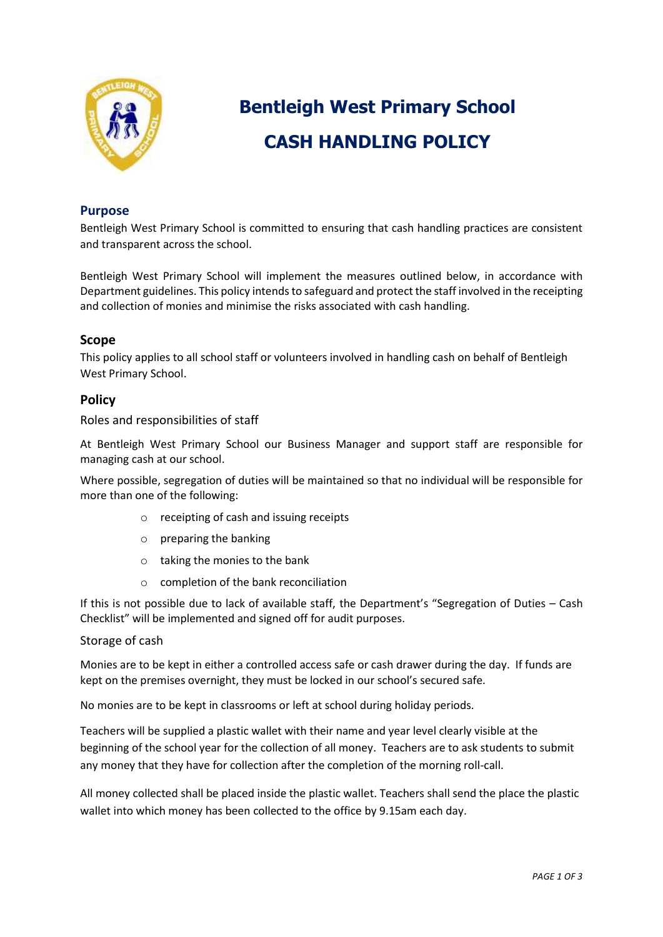

# **Bentleigh West Primary School CASH HANDLING POLICY**

# **Purpose**

Bentleigh West Primary School is committed to ensuring that cash handling practices are consistent and transparent across the school.

Bentleigh West Primary School will implement the measures outlined below, in accordance with Department guidelines. This policy intends to safeguard and protect the staff involved in the receipting and collection of monies and minimise the risks associated with cash handling.

# **Scope**

This policy applies to all school staff or volunteers involved in handling cash on behalf of Bentleigh West Primary School.

# **Policy**

Roles and responsibilities of staff

At Bentleigh West Primary School our Business Manager and support staff are responsible for managing cash at our school.

Where possible, segregation of duties will be maintained so that no individual will be responsible for more than one of the following:

- o receipting of cash and issuing receipts
- o preparing the banking
- o taking the monies to the bank
- o completion of the bank reconciliation

If this is not possible due to lack of available staff, the Department's "Segregation of Duties – Cash Checklist" will be implemented and signed off for audit purposes.

# Storage of cash

Monies are to be kept in either a controlled access safe or cash drawer during the day. If funds are kept on the premises overnight, they must be locked in our school's secured safe.

No monies are to be kept in classrooms or left at school during holiday periods.

Teachers will be supplied a plastic wallet with their name and year level clearly visible at the beginning of the school year for the collection of all money. Teachers are to ask students to submit any money that they have for collection after the completion of the morning roll-call.

All money collected shall be placed inside the plastic wallet. Teachers shall send the place the plastic wallet into which money has been collected to the office by 9.15am each day.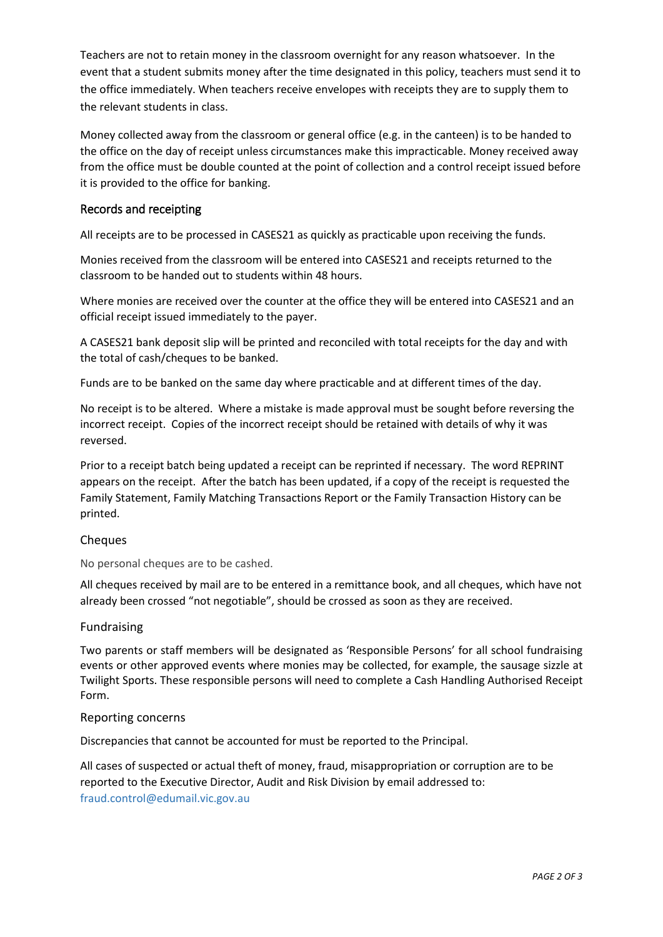Teachers are not to retain money in the classroom overnight for any reason whatsoever. In the event that a student submits money after the time designated in this policy, teachers must send it to the office immediately. When teachers receive envelopes with receipts they are to supply them to the relevant students in class.

Money collected away from the classroom or general office (e.g. in the canteen) is to be handed to the office on the day of receipt unless circumstances make this impracticable. Money received away from the office must be double counted at the point of collection and a control receipt issued before it is provided to the office for banking.

# Records and receipting

All receipts are to be processed in CASES21 as quickly as practicable upon receiving the funds.

Monies received from the classroom will be entered into CASES21 and receipts returned to the classroom to be handed out to students within 48 hours.

Where monies are received over the counter at the office they will be entered into CASES21 and an official receipt issued immediately to the payer.

A CASES21 bank deposit slip will be printed and reconciled with total receipts for the day and with the total of cash/cheques to be banked.

Funds are to be banked on the same day where practicable and at different times of the day.

No receipt is to be altered. Where a mistake is made approval must be sought before reversing the incorrect receipt. Copies of the incorrect receipt should be retained with details of why it was reversed.

Prior to a receipt batch being updated a receipt can be reprinted if necessary. The word REPRINT appears on the receipt. After the batch has been updated, if a copy of the receipt is requested the Family Statement, Family Matching Transactions Report or the Family Transaction History can be printed.

#### Cheques

No personal cheques are to be cashed.

All cheques received by mail are to be entered in a remittance book, and all cheques, which have not already been crossed "not negotiable", should be crossed as soon as they are received.

#### Fundraising

Two parents or staff members will be designated as 'Responsible Persons' for all school fundraising events or other approved events where monies may be collected, for example, the sausage sizzle at Twilight Sports. These responsible persons will need to complete a Cash Handling Authorised Receipt Form.

#### Reporting concerns

Discrepancies that cannot be accounted for must be reported to the Principal.

All cases of suspected or actual theft of money, fraud, misappropriation or corruption are to be reported to the Executive Director, Audit and Risk Division by email addressed to: [fraud.control@edumail.vic.gov.au](mailto:fraud.control@edumail.vic.gov.au%0D%20%20%20%20%20%20or)